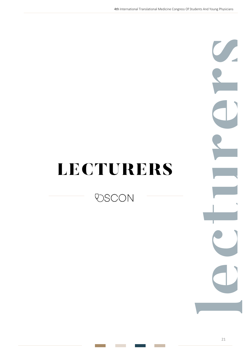## LECTURERS

**VSCON** 

**lecturers**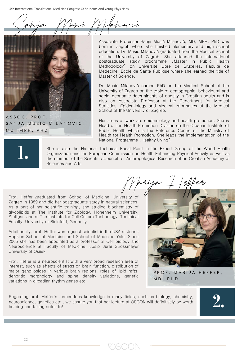4th International Translational Medicine Congress Of Students And Young Physicians

Sanja Masie Milanovic



ASSOC . PROF. SANJA MUSIĆ MILANOVIĆ, MD, MPH, PHD

Associate Professor Sanja Musić Milanović, MD, MPH, PhD was born in Zagreb where she finished elementary and high school education. Dr. Musić Milanović graduated from the Medical School of the University of Zagreb. She attended the international postgraduate study programme "Master in Public Health Methodology" on Université Libre de Bruxelles, Faculté de Médecine, Ecole de Santé Publique where she earned the title of Master of Science.

Dr. Musić Milanović earned PhD on the Medical School of the University of Zagreb on the topic of demographic, behavioural and socio-economic determinants of obesity in Croatian adults and is also an Associate Professor at the Department for Medical Statistics, Epidemiology and Medical Informatics at the Medical School of the University of Zagreb.

Her areas of work are epidemiology and health promotion. She is Head of the Health Promotion Division on the Croatian Institute of Public Health which is the Reference Centre of the Ministry of Health for Health Promotion. She leads the implementation of the National Programme "Healthy Living".

Marija Heffer



She is also the National Technical Focal Point in the Expert Group of the World Health Organization and the European Commission on Health Enhancing Physical Activity as well as the member of the Scientific Council for Anthropological Research ofthe Croatian Academy of Sciences and Arts.

Prof. Heffer graduated from School of Medicine, University of Zagreb in 1989 and did her postgraduate study in natural sciences. As a part of her scientific training, she studied biochemistry of glycolipids at The Institute for Zoology, Hohenheim University, Stuttgart and at The Institute for Cell Culture Technology, Technical Faculty, University of Bielefeld, Germany.

Additionally, prof. Heffer was a guest scientist in the USA at Johns Hopkins School of Medicine and School of Medicine Yale. Since 2005 she has been appointed as a professor of Cell biology and Neuroscience at Faculty of Medicine, Josip Juraj Strossmayer University of Osijek.

Prof. Heffer is a neuroscientist with a very broad research area of interest, such as effects of stress on brain function, distribution of major gangliosides in various brain regions, roles of lipid rafts, dendritic morphology and spine density variations, genetic variations in circadian rhythm genes etc.



**2.**

PROF. MARiJA HEFFER,

MD, PHD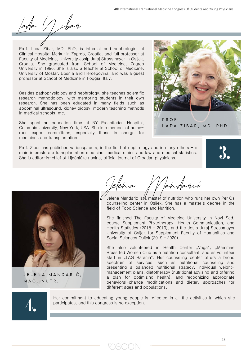7 ihag

Prof. Lada Zibar, MD, PhD, is internist and nephrologist at Clinical Hospital Merkur in Zagreb, Croatia, and full professor at Faculty of Medicine, University Josip Juraj Strossmayer in Osijek, Croatia. She graduated from School of Medicine, Zagreb University in 1990. She is also a teacher at School of Medicine, University of Mostar, Bosnia and Hercegovina, and was a guest professor at School of Medicine in Foggia, Italy.

Besides pathophysiology and nephrology, she teaches scientific research methodology, with mentoring students in their own research. She has been educated in many fields such as abdominal ultrasound, kidney biopsy, modern teaching methods in medical schools, etc.

She spent an education time at NY Presbitarian Hospital, Columbia University, New York, USA. She is a member of numerous expert committees, especially those in charge for medicines and transplantation.

Prof. Zibar has published variouspapers, in the field of nephrology and in many others.Her main interests are transplantation medicine, medical ethics and law and medical statistics. She is editor-in-chief of Liječničke novine, official journal of Croatian physicians.

**3.**



JELENA MANDARIĆ, MAG. NUTR.



Jelena Mandarić is $\#$  maste $\mathfrak k$  of nutrition who runs her own Per Os counseling center in Osijek. She has a master's degree in the field of Food Science and Nutrition.

PROF.

LADA ZiBAR, MD, PHD

She finished The Faculty of Medicine University in Novi Sad, course Supplement Phytotherapy, Health Communication, and Health Statistics (2018 – 2019), and the Josip Juraj Strossmayer University of Osijek for Supplement Faculty of Humanities and Social Sciences Osijek (2019 – 2020).

She also volunteered in Health Center "Vaga", "Mammae Breastfed Women Club as a nutrition consultant, and as volunteer staff in "LAG Baranja". Her counseling center offers a broad spectrum of services, such as nutritional counseling and presenting a balanced nutritional strategy, individual weightmanagement plans, dietotherapy (nutritional advising and offering a plan for optimizing health), and recognizing appropriate behavioral-change modifications and dietary approaches for different ages and populations.



Her commitment to educating young people is reflected in all the activities in which she participates, and this congress is no exception.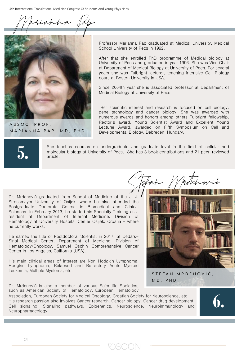Marianna Pap



ASSOC. PROF. MARiANNA PAP, MD, PHD Professor Marianna Pap graduated at Medical University, Medical School University of Pecs in 1992.

After that she enrolled PhD programme of Medical biology at University of Pecs and graduated in year 1996. She was Vice Chair at Department of Medical Biology at University of Pech. For several years she was Fulbright lecturer, teaching intensive Cell Biology cours at Boston University in USA.

Since 2004th year she is associated professor at Department of Medical Biology at University of Pecs.

Her scientific interest and research is focused on cell biology, gene technology and cancer biology. She was awarded with numerous awards and honors among others Fulbright fellowship, Rector`s award, Young Scientist Award and Excellent Young Lecturer Award, awarded on Fifth Symposium on Cell and Developmental Biology, Debrecen, Hungary.



She teaches courses on undergraduate and graduate level in the field of cellular and molecular biology at University of Pecs. She has 3 book contributions and 21 peer-reviewed article.

Dr. Mrđenović graduated from School of Medicine of the J. J. Strossmayer University of Osijek, where he also attended the Postgraduate Doctorate Course in Biomedical and Clinical Sciences. In February 2013, he started his Specialty Training as a resident at Department of Internal Medicine, Division of Hematology at University Hospital Center Osijek, Croatia – where he currently works.

He earned the title of Postdoctoral Scientist in 2017, at Cedars-Sinai Medical Center, Department of Medicine, Division of Hematology/Oncology, Samuel Oschin Comprehansive Cancer Center in Los Angeles, California (USA).

His main clinical areas of interest are Non-Hodgkin Lymphoma, Hodgkin Lymphoma, Relapsed and Refractory Acute Myeloid Leukemia, Multiple Myeloma, etc.

Dr. Mrđenović is also a member of various Scientific Societies, such as American Society of Hematology, European Hematology

Association, European Society for Medical Oncology, Croatian Society for Neuroscience, etc. His research passion also involves Cancer research, Cancer biology, Cancer drug development, Cell signaling, Signaling pathways, Epigenetics, Neuroscience, Neuroimmunology and Neuropharmacology.



STEFAN MRĐENOVIĆ, MD, PHD MD, PHD

**6.**